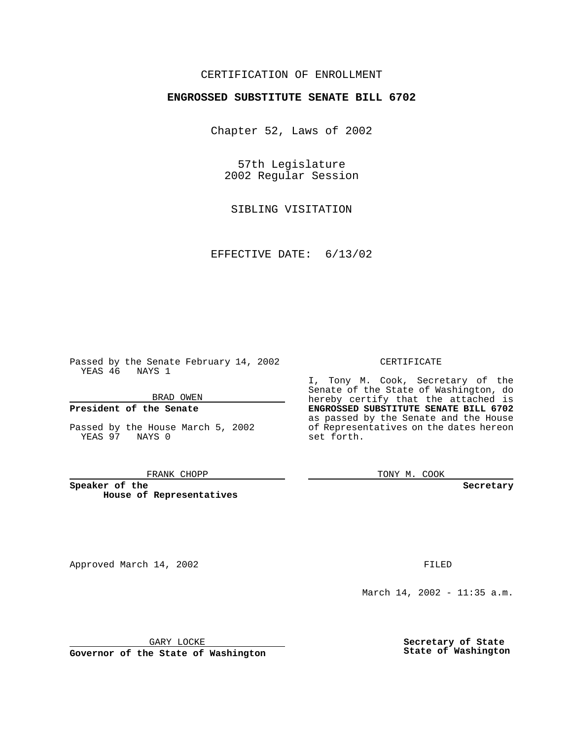### CERTIFICATION OF ENROLLMENT

# **ENGROSSED SUBSTITUTE SENATE BILL 6702**

Chapter 52, Laws of 2002

57th Legislature 2002 Regular Session

SIBLING VISITATION

EFFECTIVE DATE: 6/13/02

Passed by the Senate February 14, 2002 YEAS 46 NAYS 1

BRAD OWEN

### **President of the Senate**

Passed by the House March 5, 2002 YEAS 97 NAYS 0

#### FRANK CHOPP

**Speaker of the House of Representatives**

Approved March 14, 2002 **FILED** 

#### CERTIFICATE

I, Tony M. Cook, Secretary of the Senate of the State of Washington, do hereby certify that the attached is **ENGROSSED SUBSTITUTE SENATE BILL 6702** as passed by the Senate and the House of Representatives on the dates hereon set forth.

TONY M. COOK

**Secretary**

March 14, 2002 - 11:35 a.m.

GARY LOCKE

**Governor of the State of Washington**

**Secretary of State State of Washington**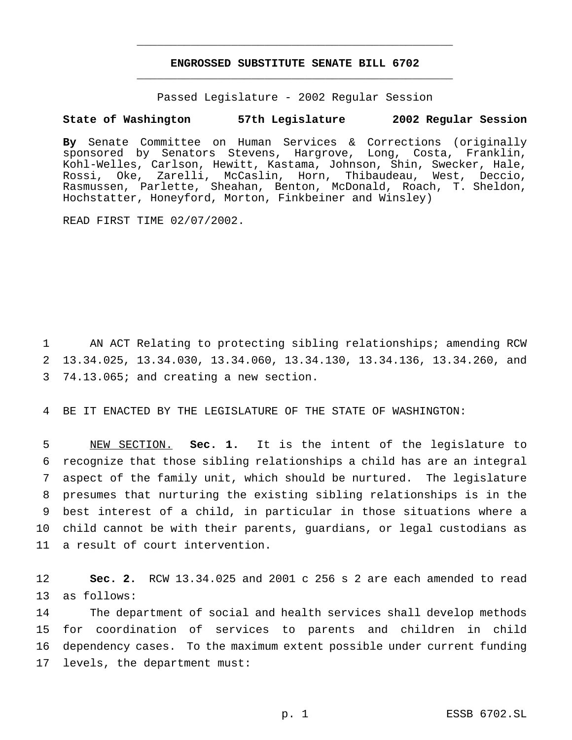## **ENGROSSED SUBSTITUTE SENATE BILL 6702** \_\_\_\_\_\_\_\_\_\_\_\_\_\_\_\_\_\_\_\_\_\_\_\_\_\_\_\_\_\_\_\_\_\_\_\_\_\_\_\_\_\_\_\_\_\_\_

\_\_\_\_\_\_\_\_\_\_\_\_\_\_\_\_\_\_\_\_\_\_\_\_\_\_\_\_\_\_\_\_\_\_\_\_\_\_\_\_\_\_\_\_\_\_\_

Passed Legislature - 2002 Regular Session

### **State of Washington 57th Legislature 2002 Regular Session**

**By** Senate Committee on Human Services & Corrections (originally sponsored by Senators Stevens, Hargrove, Long, Costa, Franklin, Kohl-Welles, Carlson, Hewitt, Kastama, Johnson, Shin, Swecker, Hale, Rossi, Oke, Zarelli, McCaslin, Horn, Thibaudeau, West, Deccio, Rasmussen, Parlette, Sheahan, Benton, McDonald, Roach, T. Sheldon, Hochstatter, Honeyford, Morton, Finkbeiner and Winsley)

READ FIRST TIME 02/07/2002.

1 AN ACT Relating to protecting sibling relationships; amending RCW 2 13.34.025, 13.34.030, 13.34.060, 13.34.130, 13.34.136, 13.34.260, and 3 74.13.065; and creating a new section.

4 BE IT ENACTED BY THE LEGISLATURE OF THE STATE OF WASHINGTON:

 NEW SECTION. **Sec. 1.** It is the intent of the legislature to recognize that those sibling relationships a child has are an integral aspect of the family unit, which should be nurtured. The legislature presumes that nurturing the existing sibling relationships is in the best interest of a child, in particular in those situations where a child cannot be with their parents, guardians, or legal custodians as a result of court intervention.

12 **Sec. 2.** RCW 13.34.025 and 2001 c 256 s 2 are each amended to read 13 as follows:

 The department of social and health services shall develop methods for coordination of services to parents and children in child dependency cases. To the maximum extent possible under current funding levels, the department must: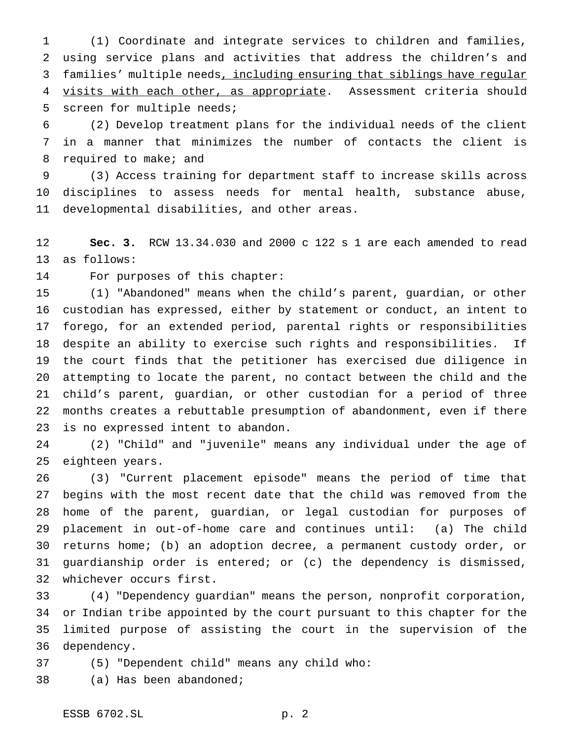(1) Coordinate and integrate services to children and families, using service plans and activities that address the children's and families' multiple needs, including ensuring that siblings have regular 4 visits with each other, as appropriate. Assessment criteria should screen for multiple needs;

 (2) Develop treatment plans for the individual needs of the client in a manner that minimizes the number of contacts the client is 8 required to make; and

 (3) Access training for department staff to increase skills across disciplines to assess needs for mental health, substance abuse, developmental disabilities, and other areas.

 **Sec. 3.** RCW 13.34.030 and 2000 c 122 s 1 are each amended to read as follows:

For purposes of this chapter:

 (1) "Abandoned" means when the child's parent, guardian, or other custodian has expressed, either by statement or conduct, an intent to forego, for an extended period, parental rights or responsibilities despite an ability to exercise such rights and responsibilities. If the court finds that the petitioner has exercised due diligence in attempting to locate the parent, no contact between the child and the child's parent, guardian, or other custodian for a period of three months creates a rebuttable presumption of abandonment, even if there is no expressed intent to abandon.

 (2) "Child" and "juvenile" means any individual under the age of eighteen years.

 (3) "Current placement episode" means the period of time that begins with the most recent date that the child was removed from the home of the parent, guardian, or legal custodian for purposes of placement in out-of-home care and continues until: (a) The child returns home; (b) an adoption decree, a permanent custody order, or guardianship order is entered; or (c) the dependency is dismissed, whichever occurs first.

 (4) "Dependency guardian" means the person, nonprofit corporation, or Indian tribe appointed by the court pursuant to this chapter for the limited purpose of assisting the court in the supervision of the dependency.

(5) "Dependent child" means any child who:

(a) Has been abandoned;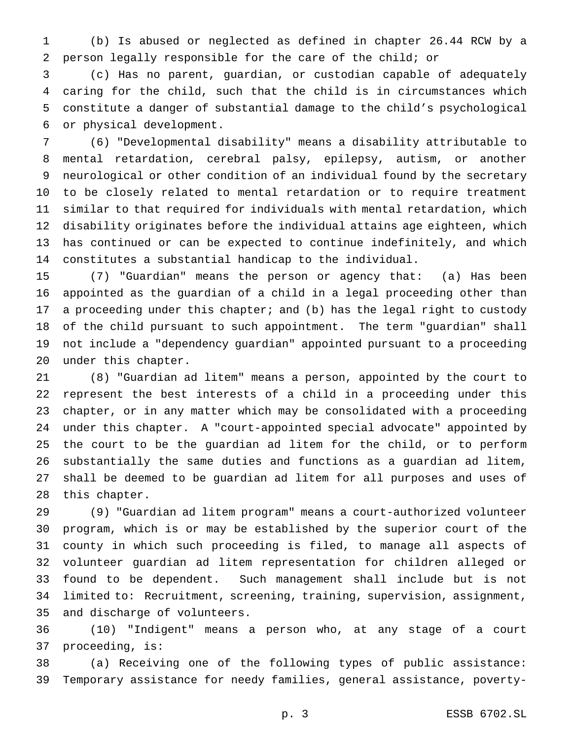(b) Is abused or neglected as defined in chapter 26.44 RCW by a person legally responsible for the care of the child; or

 (c) Has no parent, guardian, or custodian capable of adequately caring for the child, such that the child is in circumstances which constitute a danger of substantial damage to the child's psychological or physical development.

 (6) "Developmental disability" means a disability attributable to mental retardation, cerebral palsy, epilepsy, autism, or another neurological or other condition of an individual found by the secretary to be closely related to mental retardation or to require treatment similar to that required for individuals with mental retardation, which disability originates before the individual attains age eighteen, which has continued or can be expected to continue indefinitely, and which constitutes a substantial handicap to the individual.

 (7) "Guardian" means the person or agency that: (a) Has been appointed as the guardian of a child in a legal proceeding other than a proceeding under this chapter; and (b) has the legal right to custody of the child pursuant to such appointment. The term "guardian" shall not include a "dependency guardian" appointed pursuant to a proceeding under this chapter.

 (8) "Guardian ad litem" means a person, appointed by the court to represent the best interests of a child in a proceeding under this chapter, or in any matter which may be consolidated with a proceeding under this chapter. A "court-appointed special advocate" appointed by the court to be the guardian ad litem for the child, or to perform substantially the same duties and functions as a guardian ad litem, shall be deemed to be guardian ad litem for all purposes and uses of this chapter.

 (9) "Guardian ad litem program" means a court-authorized volunteer program, which is or may be established by the superior court of the county in which such proceeding is filed, to manage all aspects of volunteer guardian ad litem representation for children alleged or found to be dependent. Such management shall include but is not limited to: Recruitment, screening, training, supervision, assignment, and discharge of volunteers.

 (10) "Indigent" means a person who, at any stage of a court proceeding, is:

 (a) Receiving one of the following types of public assistance: Temporary assistance for needy families, general assistance, poverty-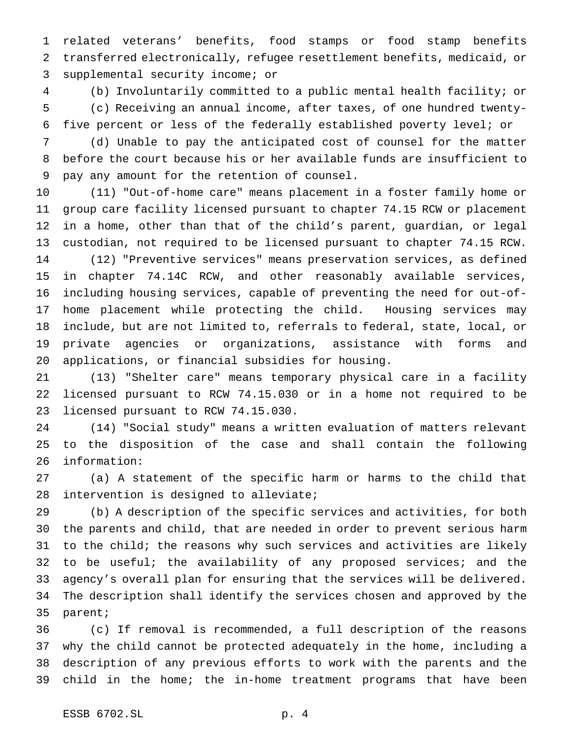related veterans' benefits, food stamps or food stamp benefits transferred electronically, refugee resettlement benefits, medicaid, or supplemental security income; or

 (b) Involuntarily committed to a public mental health facility; or (c) Receiving an annual income, after taxes, of one hundred twenty-five percent or less of the federally established poverty level; or

 (d) Unable to pay the anticipated cost of counsel for the matter before the court because his or her available funds are insufficient to pay any amount for the retention of counsel.

 (11) "Out-of-home care" means placement in a foster family home or group care facility licensed pursuant to chapter 74.15 RCW or placement in a home, other than that of the child's parent, guardian, or legal custodian, not required to be licensed pursuant to chapter 74.15 RCW. (12) "Preventive services" means preservation services, as defined in chapter 74.14C RCW, and other reasonably available services, including housing services, capable of preventing the need for out-of- home placement while protecting the child. Housing services may include, but are not limited to, referrals to federal, state, local, or private agencies or organizations, assistance with forms and applications, or financial subsidies for housing.

 (13) "Shelter care" means temporary physical care in a facility licensed pursuant to RCW 74.15.030 or in a home not required to be licensed pursuant to RCW 74.15.030.

 (14) "Social study" means a written evaluation of matters relevant to the disposition of the case and shall contain the following information:

 (a) A statement of the specific harm or harms to the child that intervention is designed to alleviate;

 (b) A description of the specific services and activities, for both the parents and child, that are needed in order to prevent serious harm to the child; the reasons why such services and activities are likely 32 to be useful; the availability of any proposed services; and the agency's overall plan for ensuring that the services will be delivered. The description shall identify the services chosen and approved by the parent;

 (c) If removal is recommended, a full description of the reasons why the child cannot be protected adequately in the home, including a description of any previous efforts to work with the parents and the child in the home; the in-home treatment programs that have been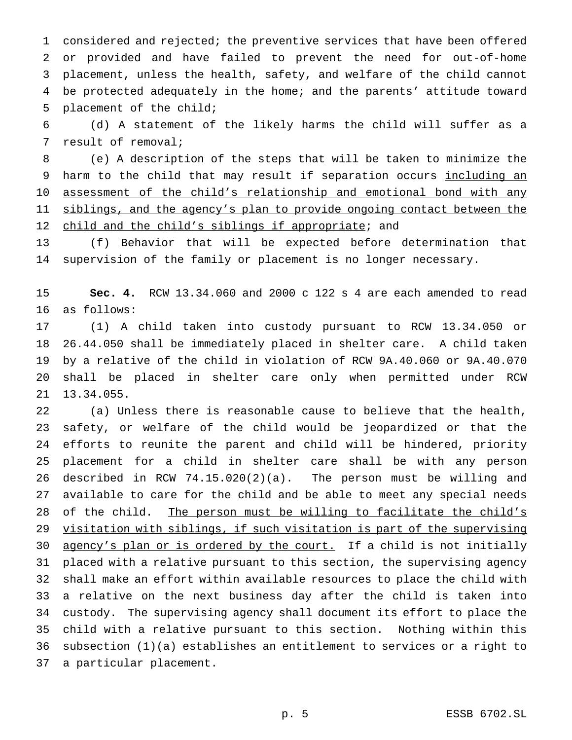considered and rejected; the preventive services that have been offered or provided and have failed to prevent the need for out-of-home placement, unless the health, safety, and welfare of the child cannot be protected adequately in the home; and the parents' attitude toward placement of the child;

 (d) A statement of the likely harms the child will suffer as a result of removal;

 (e) A description of the steps that will be taken to minimize the 9 harm to the child that may result if separation occurs including an 10 assessment of the child's relationship and emotional bond with any 11 siblings, and the agency's plan to provide ongoing contact between the 12 child and the child's siblings if appropriate; and

 (f) Behavior that will be expected before determination that supervision of the family or placement is no longer necessary.

 **Sec. 4.** RCW 13.34.060 and 2000 c 122 s 4 are each amended to read as follows:

 (1) A child taken into custody pursuant to RCW 13.34.050 or 26.44.050 shall be immediately placed in shelter care. A child taken by a relative of the child in violation of RCW 9A.40.060 or 9A.40.070 shall be placed in shelter care only when permitted under RCW 13.34.055.

 (a) Unless there is reasonable cause to believe that the health, safety, or welfare of the child would be jeopardized or that the efforts to reunite the parent and child will be hindered, priority placement for a child in shelter care shall be with any person described in RCW 74.15.020(2)(a). The person must be willing and available to care for the child and be able to meet any special needs 28 of the child. The person must be willing to facilitate the child's visitation with siblings, if such visitation is part of the supervising 30 agency's plan or is ordered by the court. If a child is not initially placed with a relative pursuant to this section, the supervising agency shall make an effort within available resources to place the child with a relative on the next business day after the child is taken into custody. The supervising agency shall document its effort to place the child with a relative pursuant to this section. Nothing within this subsection (1)(a) establishes an entitlement to services or a right to a particular placement.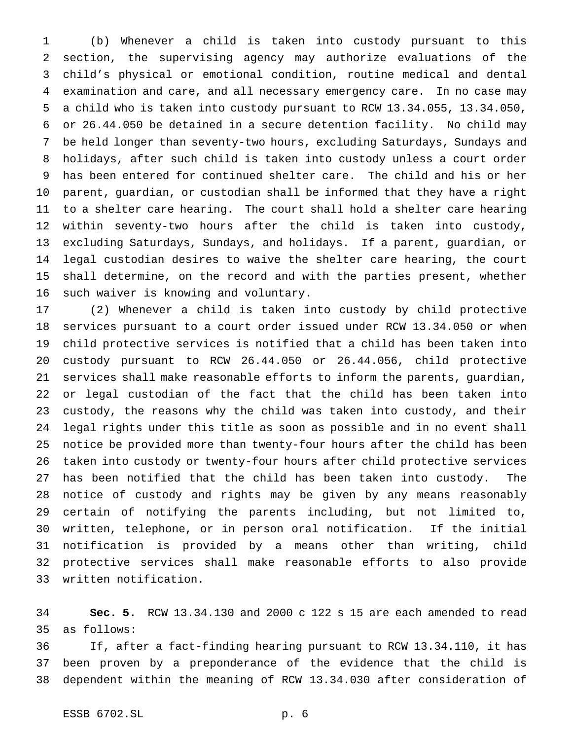(b) Whenever a child is taken into custody pursuant to this section, the supervising agency may authorize evaluations of the child's physical or emotional condition, routine medical and dental examination and care, and all necessary emergency care. In no case may a child who is taken into custody pursuant to RCW 13.34.055, 13.34.050, or 26.44.050 be detained in a secure detention facility. No child may be held longer than seventy-two hours, excluding Saturdays, Sundays and holidays, after such child is taken into custody unless a court order has been entered for continued shelter care. The child and his or her parent, guardian, or custodian shall be informed that they have a right to a shelter care hearing. The court shall hold a shelter care hearing within seventy-two hours after the child is taken into custody, excluding Saturdays, Sundays, and holidays. If a parent, guardian, or legal custodian desires to waive the shelter care hearing, the court shall determine, on the record and with the parties present, whether such waiver is knowing and voluntary.

 (2) Whenever a child is taken into custody by child protective services pursuant to a court order issued under RCW 13.34.050 or when child protective services is notified that a child has been taken into custody pursuant to RCW 26.44.050 or 26.44.056, child protective services shall make reasonable efforts to inform the parents, guardian, or legal custodian of the fact that the child has been taken into custody, the reasons why the child was taken into custody, and their legal rights under this title as soon as possible and in no event shall notice be provided more than twenty-four hours after the child has been taken into custody or twenty-four hours after child protective services has been notified that the child has been taken into custody. The notice of custody and rights may be given by any means reasonably certain of notifying the parents including, but not limited to, written, telephone, or in person oral notification. If the initial notification is provided by a means other than writing, child protective services shall make reasonable efforts to also provide written notification.

 **Sec. 5.** RCW 13.34.130 and 2000 c 122 s 15 are each amended to read as follows:

 If, after a fact-finding hearing pursuant to RCW 13.34.110, it has been proven by a preponderance of the evidence that the child is dependent within the meaning of RCW 13.34.030 after consideration of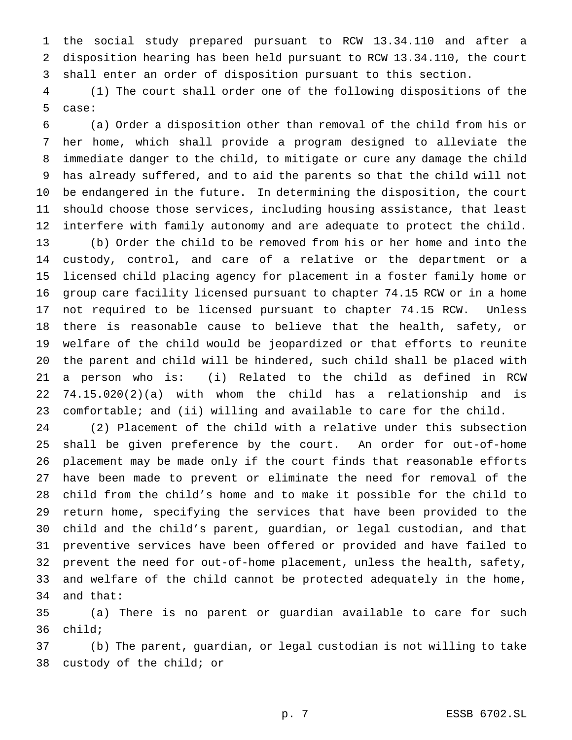the social study prepared pursuant to RCW 13.34.110 and after a disposition hearing has been held pursuant to RCW 13.34.110, the court shall enter an order of disposition pursuant to this section.

 (1) The court shall order one of the following dispositions of the case:

 (a) Order a disposition other than removal of the child from his or her home, which shall provide a program designed to alleviate the immediate danger to the child, to mitigate or cure any damage the child has already suffered, and to aid the parents so that the child will not be endangered in the future. In determining the disposition, the court should choose those services, including housing assistance, that least interfere with family autonomy and are adequate to protect the child. (b) Order the child to be removed from his or her home and into the custody, control, and care of a relative or the department or a licensed child placing agency for placement in a foster family home or group care facility licensed pursuant to chapter 74.15 RCW or in a home not required to be licensed pursuant to chapter 74.15 RCW. Unless there is reasonable cause to believe that the health, safety, or welfare of the child would be jeopardized or that efforts to reunite the parent and child will be hindered, such child shall be placed with a person who is: (i) Related to the child as defined in RCW 74.15.020(2)(a) with whom the child has a relationship and is comfortable; and (ii) willing and available to care for the child.

 (2) Placement of the child with a relative under this subsection shall be given preference by the court. An order for out-of-home placement may be made only if the court finds that reasonable efforts have been made to prevent or eliminate the need for removal of the child from the child's home and to make it possible for the child to return home, specifying the services that have been provided to the child and the child's parent, guardian, or legal custodian, and that preventive services have been offered or provided and have failed to prevent the need for out-of-home placement, unless the health, safety, and welfare of the child cannot be protected adequately in the home, and that:

 (a) There is no parent or guardian available to care for such child;

 (b) The parent, guardian, or legal custodian is not willing to take custody of the child; or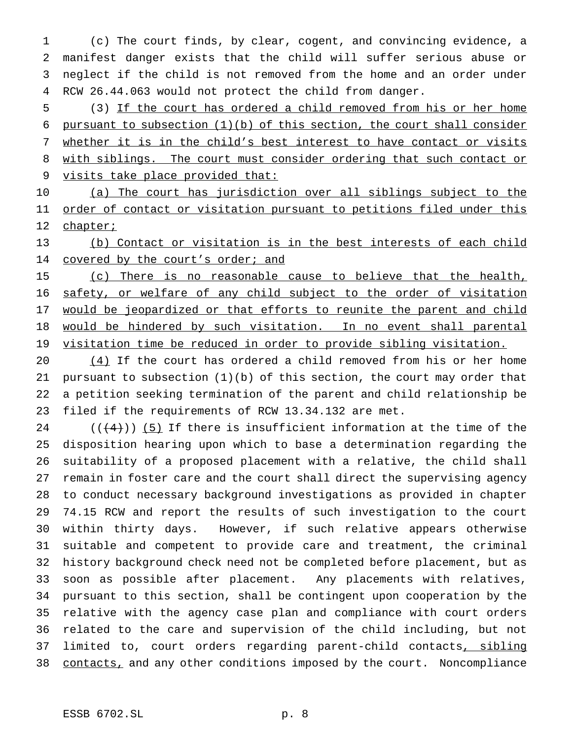(c) The court finds, by clear, cogent, and convincing evidence, a manifest danger exists that the child will suffer serious abuse or neglect if the child is not removed from the home and an order under RCW 26.44.063 would not protect the child from danger.

 (3) If the court has ordered a child removed from his or her home pursuant to subsection (1)(b) of this section, the court shall consider whether it is in the child's best interest to have contact or visits with siblings. The court must consider ordering that such contact or visits take place provided that:

10 (a) The court has jurisdiction over all siblings subject to the 11 order of contact or visitation pursuant to petitions filed under this 12 chapter;

 (b) Contact or visitation is in the best interests of each child 14 covered by the court's order; and

 (c) There is no reasonable cause to believe that the health, safety, or welfare of any child subject to the order of visitation 17 would be jeopardized or that efforts to reunite the parent and child would be hindered by such visitation. In no event shall parental visitation time be reduced in order to provide sibling visitation.

 $(4)$  If the court has ordered a child removed from his or her home pursuant to subsection (1)(b) of this section, the court may order that a petition seeking termination of the parent and child relationship be filed if the requirements of RCW 13.34.132 are met.

 $((+4))$  (5) If there is insufficient information at the time of the disposition hearing upon which to base a determination regarding the suitability of a proposed placement with a relative, the child shall remain in foster care and the court shall direct the supervising agency to conduct necessary background investigations as provided in chapter 74.15 RCW and report the results of such investigation to the court within thirty days. However, if such relative appears otherwise suitable and competent to provide care and treatment, the criminal history background check need not be completed before placement, but as soon as possible after placement. Any placements with relatives, pursuant to this section, shall be contingent upon cooperation by the relative with the agency case plan and compliance with court orders related to the care and supervision of the child including, but not 37 limited to, court orders regarding parent-child contacts, sibling 38 contacts, and any other conditions imposed by the court. Noncompliance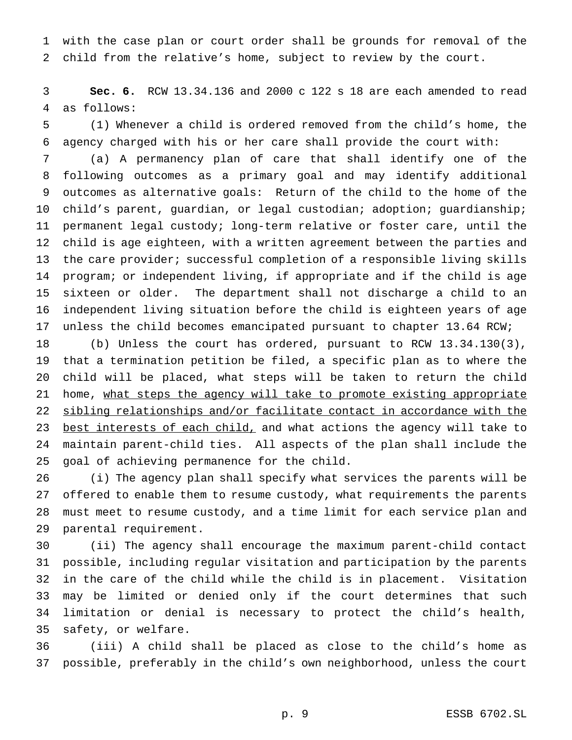with the case plan or court order shall be grounds for removal of the child from the relative's home, subject to review by the court.

 **Sec. 6.** RCW 13.34.136 and 2000 c 122 s 18 are each amended to read as follows:

 (1) Whenever a child is ordered removed from the child's home, the agency charged with his or her care shall provide the court with:

 (a) A permanency plan of care that shall identify one of the following outcomes as a primary goal and may identify additional outcomes as alternative goals: Return of the child to the home of the child's parent, guardian, or legal custodian; adoption; guardianship; permanent legal custody; long-term relative or foster care, until the child is age eighteen, with a written agreement between the parties and 13 the care provider; successful completion of a responsible living skills program; or independent living, if appropriate and if the child is age sixteen or older. The department shall not discharge a child to an independent living situation before the child is eighteen years of age unless the child becomes emancipated pursuant to chapter 13.64 RCW;

 (b) Unless the court has ordered, pursuant to RCW 13.34.130(3), that a termination petition be filed, a specific plan as to where the child will be placed, what steps will be taken to return the child 21 home, what steps the agency will take to promote existing appropriate sibling relationships and/or facilitate contact in accordance with the 23 best interests of each child, and what actions the agency will take to maintain parent-child ties. All aspects of the plan shall include the goal of achieving permanence for the child.

 (i) The agency plan shall specify what services the parents will be offered to enable them to resume custody, what requirements the parents must meet to resume custody, and a time limit for each service plan and parental requirement.

 (ii) The agency shall encourage the maximum parent-child contact possible, including regular visitation and participation by the parents in the care of the child while the child is in placement. Visitation may be limited or denied only if the court determines that such limitation or denial is necessary to protect the child's health, safety, or welfare.

 (iii) A child shall be placed as close to the child's home as possible, preferably in the child's own neighborhood, unless the court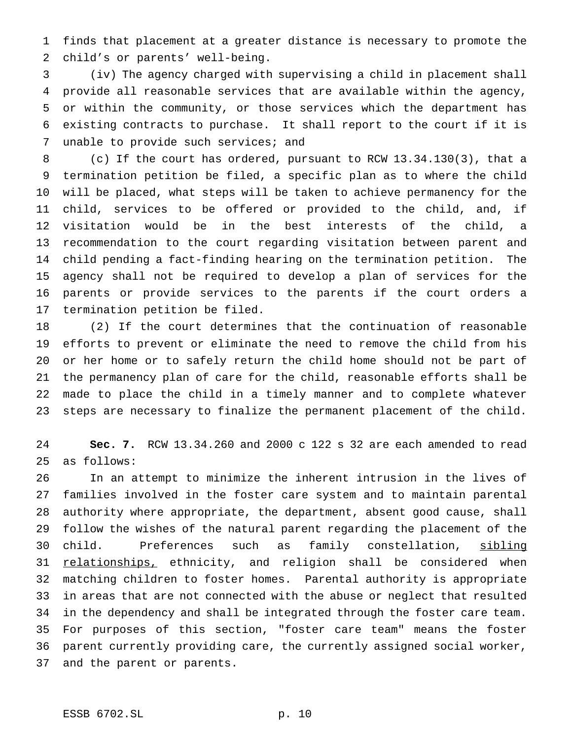finds that placement at a greater distance is necessary to promote the child's or parents' well-being.

 (iv) The agency charged with supervising a child in placement shall provide all reasonable services that are available within the agency, or within the community, or those services which the department has existing contracts to purchase. It shall report to the court if it is 7 unable to provide such services; and

 (c) If the court has ordered, pursuant to RCW 13.34.130(3), that a termination petition be filed, a specific plan as to where the child will be placed, what steps will be taken to achieve permanency for the child, services to be offered or provided to the child, and, if visitation would be in the best interests of the child, a recommendation to the court regarding visitation between parent and child pending a fact-finding hearing on the termination petition. The agency shall not be required to develop a plan of services for the parents or provide services to the parents if the court orders a termination petition be filed.

 (2) If the court determines that the continuation of reasonable efforts to prevent or eliminate the need to remove the child from his or her home or to safely return the child home should not be part of the permanency plan of care for the child, reasonable efforts shall be made to place the child in a timely manner and to complete whatever steps are necessary to finalize the permanent placement of the child.

 **Sec. 7.** RCW 13.34.260 and 2000 c 122 s 32 are each amended to read as follows:

 In an attempt to minimize the inherent intrusion in the lives of families involved in the foster care system and to maintain parental authority where appropriate, the department, absent good cause, shall follow the wishes of the natural parent regarding the placement of the child. Preferences such as family constellation, sibling 31 relationships, ethnicity, and religion shall be considered when matching children to foster homes. Parental authority is appropriate in areas that are not connected with the abuse or neglect that resulted in the dependency and shall be integrated through the foster care team. For purposes of this section, "foster care team" means the foster parent currently providing care, the currently assigned social worker, and the parent or parents.